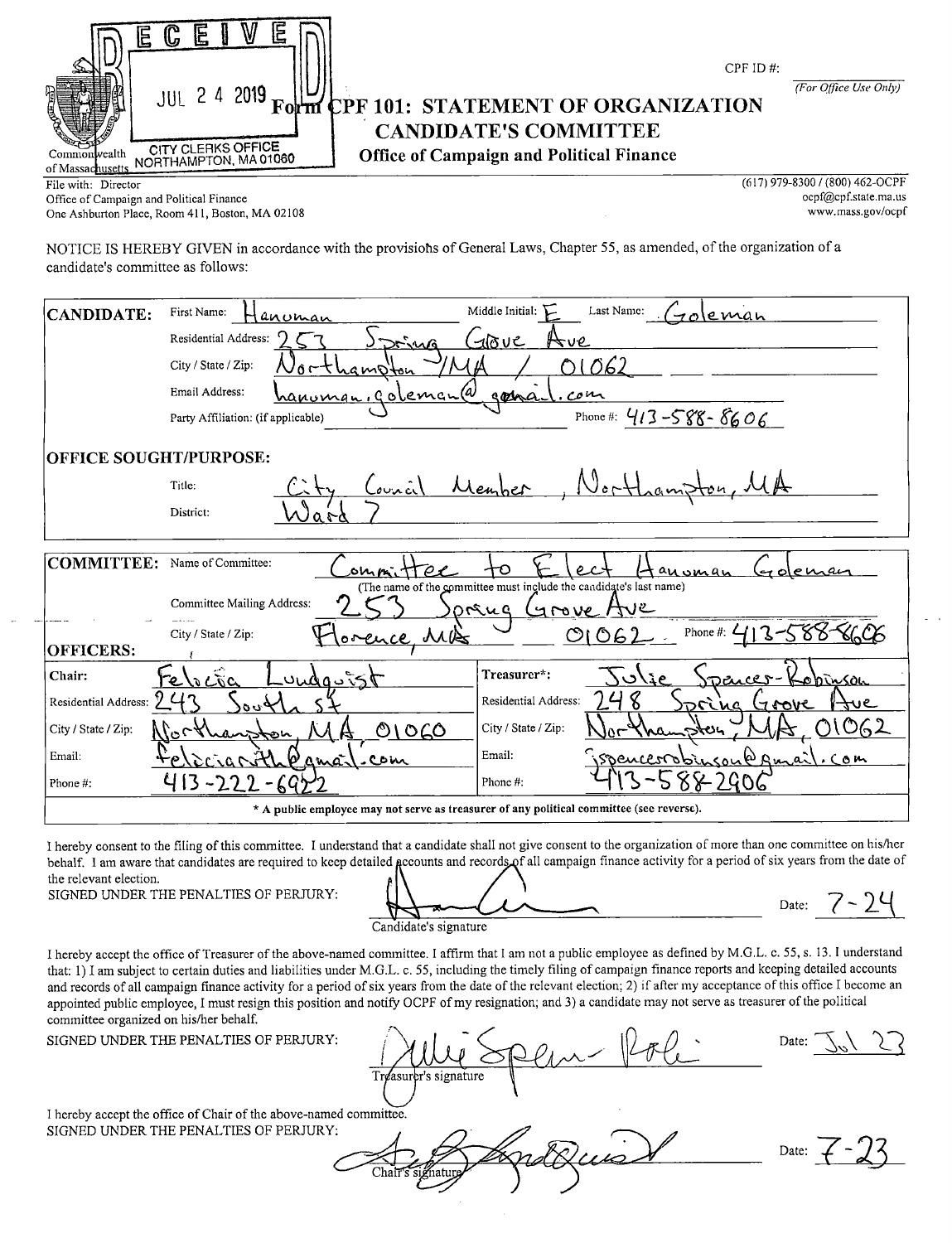| Ę<br>W                                                                                                                       |                       |
|------------------------------------------------------------------------------------------------------------------------------|-----------------------|
| CPF ID $#$ :                                                                                                                 |                       |
| 2019<br><b>JUL 24</b><br>Form CPF 101: STATEMENT OF ORGANIZATION                                                             | (For Office Use Only) |
| <b>CANDIDATE'S COMMITTEE</b>                                                                                                 |                       |
| CITY CLERKS OFFICE<br>Office of Campaign and Political Finance<br>Commonwealth<br>NORTHAMPTON, MA 01060<br>of Massachusetts. |                       |

Office of Campaign and Political Finance<br>One Ashburton Place. Room 411. Boston, MA 02108<br>One Ashburton Place. Room 411. Boston, MA 02108 One Ashburton Place, Room 411, Boston, MA 02108

File with: Director (617) 979-8300 / (800) 462-OCPF<br>Office of Campaign and Political Finance opf@cpf.state.ma.us

NOTICE IS HEREBY GIVEN in accordance with the provisions of General Laws, Chapter 55, as amended, of the organization of a candidate's committee as follows:

| CANDIDATE:                    | Middle Initial: $\sum$<br>Last Name:<br>First Name:<br>roleman<br>anoman                                                         |
|-------------------------------|----------------------------------------------------------------------------------------------------------------------------------|
|                               | Residential Address:<br>$-100c$<br>25.40<br>∀ve                                                                                  |
|                               | 062<br>City / State / Zip:<br>namoi<br>.c.                                                                                       |
|                               | Email Address:<br><u>hanoman, goleman (a</u><br>com<br>gora.                                                                     |
|                               | Phone #: $413 - 588 - 8606$<br>Party Affiliation: (if applicable)                                                                |
| <b>OFFICE SOUGHT/PURPOSE:</b> |                                                                                                                                  |
|                               | $\omega$ inal<br>Men<br>Title:                                                                                                   |
|                               | District:                                                                                                                        |
|                               |                                                                                                                                  |
| <b>COMMITTEE:</b>             | Name of Committee:<br>anoman<br>sn n                                                                                             |
|                               | (The name of the committee must include the candidate's last name)<br><b>Committee Mailing Address:</b><br>orang<br>けいし<br>Arove |
| <b>OFFICERS:</b>              | Phone #: $\angle$<br>01062<br>′}~<br>City / State / Zip:<br><u>orence</u> MB                                                     |
| Chair:                        | Treasurer*:<br>unda 55t<br>۵۳ ده.<br><u>Dhinson</u><br>いぶい                                                                       |
| Residential Address:          | Residential Address:<br>Συ,<br><u>SVOVE</u><br>ve<br>.ua                                                                         |
| City / State / Zip:           | City / State / Zip:<br>01060<br>にん                                                                                               |
| Email:                        | Email:<br>conk Rina<br>.com<br><i>onumen</i><br>com                                                                              |
| Phone #:                      | Phone#:                                                                                                                          |
|                               | * A public employee may not serve as treasurer of any political committee (see reverse).                                         |

I hereby consent to the filing of this committee. I understand that <sup>a</sup> candidate shall not give consent to the organization of more than one committee on his/ her behalf. I am aware that candidates are required to keep detailed accounts and records of all campaign finance activity for a period of six years from the date of the relevant election.

SIGNED UNDER THE PENALTIES OF PERJURY:

Candidate's signature

Date:  $7 - 24$ 

I hereby accept the office of Treasurer of the above- named committee. I affirm that <sup>I</sup> am not <sup>a</sup> public employee as defined by M.G.L. c. 55, s. 13. <sup>I</sup> understand that: 1) I am subject to certain duties and liabilities under M.G.L. c. 55, including the timely filing of campaign finance reports and keeping detailed accounts and records of all campaign finance activity for <sup>a</sup> period of six years from the date of the relevant election; 2) if after my acceptance of this office I become an appointed public employee, I must resign this position and notify OCPF of my resignation; and 3) <sup>a</sup> candidate may not serve as treasurer of the political committee organized on his/her behalf.

SIGNED UNDER THE PENALTIES OF PERJURY:

Julie Spen - Role Date: Jul 27 Treasurer's signature

I hereby accept the office of Chair of the above- named committee. SIGNED UNDER THE PENALTIES OF PERJURY:

Chair's signatur

Date: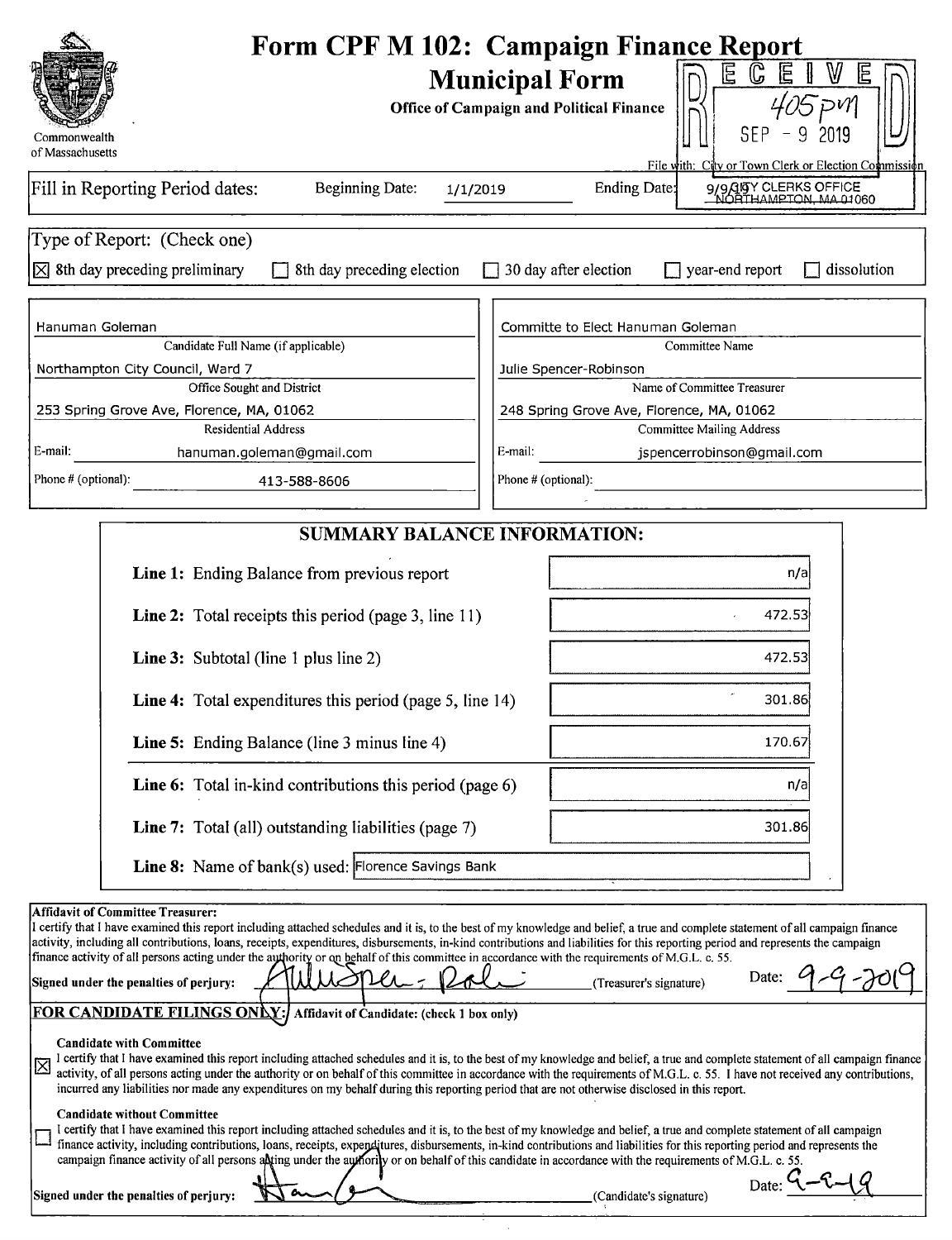|                                                                                                                                                                                                                                                                                                                                                                                                                                                                                                                                                                                                              | <b>Form CPF M 102: Campaign Finance Report</b>                                                                                                                                                                                                                                                                                                                     |
|--------------------------------------------------------------------------------------------------------------------------------------------------------------------------------------------------------------------------------------------------------------------------------------------------------------------------------------------------------------------------------------------------------------------------------------------------------------------------------------------------------------------------------------------------------------------------------------------------------------|--------------------------------------------------------------------------------------------------------------------------------------------------------------------------------------------------------------------------------------------------------------------------------------------------------------------------------------------------------------------|
| Commonwealth                                                                                                                                                                                                                                                                                                                                                                                                                                                                                                                                                                                                 | 旧<br>$\mathbb{G}$<br>W<br>旧<br>旧<br><b>Municipal Form</b><br><b>Office of Campaign and Political Finance</b><br>2019                                                                                                                                                                                                                                               |
| of Massachusetts                                                                                                                                                                                                                                                                                                                                                                                                                                                                                                                                                                                             | File with: City or Town Clerk or Election Commission                                                                                                                                                                                                                                                                                                               |
| Fill in Reporting Period dates:<br>Beginning Date:<br>1/1/2019                                                                                                                                                                                                                                                                                                                                                                                                                                                                                                                                               | 9/9/15Y CLERKS OFFICE<br>NORTHAMPTON, MA 01060<br>Ending Date:                                                                                                                                                                                                                                                                                                     |
| Type of Report: (Check one)                                                                                                                                                                                                                                                                                                                                                                                                                                                                                                                                                                                  |                                                                                                                                                                                                                                                                                                                                                                    |
| $\times$ 8th day preceding preliminary<br>8th day preceding election                                                                                                                                                                                                                                                                                                                                                                                                                                                                                                                                         | $\Box$ 30 day after election<br>$\Box$ year-end report<br>dissolution                                                                                                                                                                                                                                                                                              |
| Hanuman Goleman                                                                                                                                                                                                                                                                                                                                                                                                                                                                                                                                                                                              | Committe to Elect Hanuman Goleman                                                                                                                                                                                                                                                                                                                                  |
| Candidate Full Name (if applicable)                                                                                                                                                                                                                                                                                                                                                                                                                                                                                                                                                                          | Committee Name                                                                                                                                                                                                                                                                                                                                                     |
| Northampton City Council, Ward 7                                                                                                                                                                                                                                                                                                                                                                                                                                                                                                                                                                             | Julie Spencer-Robinson                                                                                                                                                                                                                                                                                                                                             |
| Office Sought and District                                                                                                                                                                                                                                                                                                                                                                                                                                                                                                                                                                                   | Name of Committee Treasurer                                                                                                                                                                                                                                                                                                                                        |
| 253 Spring Grove Ave, Florence, MA, 01062<br><b>Residential Address</b>                                                                                                                                                                                                                                                                                                                                                                                                                                                                                                                                      | 248 Spring Grove Ave, Florence, MA, 01062<br><b>Committee Mailing Address</b>                                                                                                                                                                                                                                                                                      |
| E-mail:<br>hanuman.goleman@gmail.com                                                                                                                                                                                                                                                                                                                                                                                                                                                                                                                                                                         | E-mail:<br>jspencerrobinson@gmail.com                                                                                                                                                                                                                                                                                                                              |
| Phone # (optional):<br>413-588-8606                                                                                                                                                                                                                                                                                                                                                                                                                                                                                                                                                                          | Phone # (optional):                                                                                                                                                                                                                                                                                                                                                |
|                                                                                                                                                                                                                                                                                                                                                                                                                                                                                                                                                                                                              |                                                                                                                                                                                                                                                                                                                                                                    |
| <b>SUMMARY BALANCE INFORMATION:</b>                                                                                                                                                                                                                                                                                                                                                                                                                                                                                                                                                                          |                                                                                                                                                                                                                                                                                                                                                                    |
| Line 1: Ending Balance from previous report                                                                                                                                                                                                                                                                                                                                                                                                                                                                                                                                                                  | n/a                                                                                                                                                                                                                                                                                                                                                                |
| <b>Line 2:</b> Total receipts this period (page 3, line 11)                                                                                                                                                                                                                                                                                                                                                                                                                                                                                                                                                  | 472.53                                                                                                                                                                                                                                                                                                                                                             |
| <b>Line 3:</b> Subtotal (line 1 plus line 2)                                                                                                                                                                                                                                                                                                                                                                                                                                                                                                                                                                 | 472.53                                                                                                                                                                                                                                                                                                                                                             |
| Line 4: Total expenditures this period (page 5, line 14)                                                                                                                                                                                                                                                                                                                                                                                                                                                                                                                                                     | 301.86                                                                                                                                                                                                                                                                                                                                                             |
| <b>Line 5:</b> Ending Balance (line 3 minus line 4)                                                                                                                                                                                                                                                                                                                                                                                                                                                                                                                                                          | 170.67                                                                                                                                                                                                                                                                                                                                                             |
| Line 6: Total in-kind contributions this period (page 6)                                                                                                                                                                                                                                                                                                                                                                                                                                                                                                                                                     | n/a                                                                                                                                                                                                                                                                                                                                                                |
| Line 7: Total (all) outstanding liabilities (page 7)                                                                                                                                                                                                                                                                                                                                                                                                                                                                                                                                                         | 301.86                                                                                                                                                                                                                                                                                                                                                             |
| Line 8: Name of bank(s) used: Florence Savings Bank                                                                                                                                                                                                                                                                                                                                                                                                                                                                                                                                                          |                                                                                                                                                                                                                                                                                                                                                                    |
| <b>Affidavit of Committee Treasurer:</b><br>I certify that I have examined this report including attached schedules and it is, to the best of my knowledge and belief, a true and complete statement of all campaign finance<br>activity, including all contributions, loans, receipts, expenditures, disbursements, in-kind contributions and liabilities for this reporting period and represents the campaign<br>finance activity of all persons acting under the authority or on behalf of this committee in accordance with the requirements of M.G.L. c. 55.<br>Signed under the penalties of perjury: | Date:<br>(Treasurer's signature)                                                                                                                                                                                                                                                                                                                                   |
| <b>FOR CANDIDATE FILINGS ONLY:/</b><br>Affidavit of Candidate: (check 1 box only)                                                                                                                                                                                                                                                                                                                                                                                                                                                                                                                            |                                                                                                                                                                                                                                                                                                                                                                    |
| <b>Candidate with Committee</b><br>区<br>incurred any liabilities nor made any expenditures on my behalf during this reporting period that are not otherwise disclosed in this report.                                                                                                                                                                                                                                                                                                                                                                                                                        | I certify that I have examined this report including attached schedules and it is, to the best of my knowledge and belief, a true and complete statement of all campaign finance<br>activity, of all persons acting under the authority or on behalf of this committee in accordance with the requirements of M.G.L. c. 55. I have not received any contributions, |
| <b>Candidate without Committee</b><br>I certify that I have examined this report including attached schedules and it is, to the best of my knowledge and belief, a true and complete statement of all campaign<br>finance activity, including contributions, loans, receipts, expenditures, disbursements, in-kind contributions and liabilities for this reporting period and represents the<br>campaign finance activity of all persons alting under the authority or on behalf of this candidate in accordance with the requirements of M.G.L. c. 55.                                                     | Date                                                                                                                                                                                                                                                                                                                                                               |
| Signed under the penalties of perjury:                                                                                                                                                                                                                                                                                                                                                                                                                                                                                                                                                                       | (Candidate's signature)                                                                                                                                                                                                                                                                                                                                            |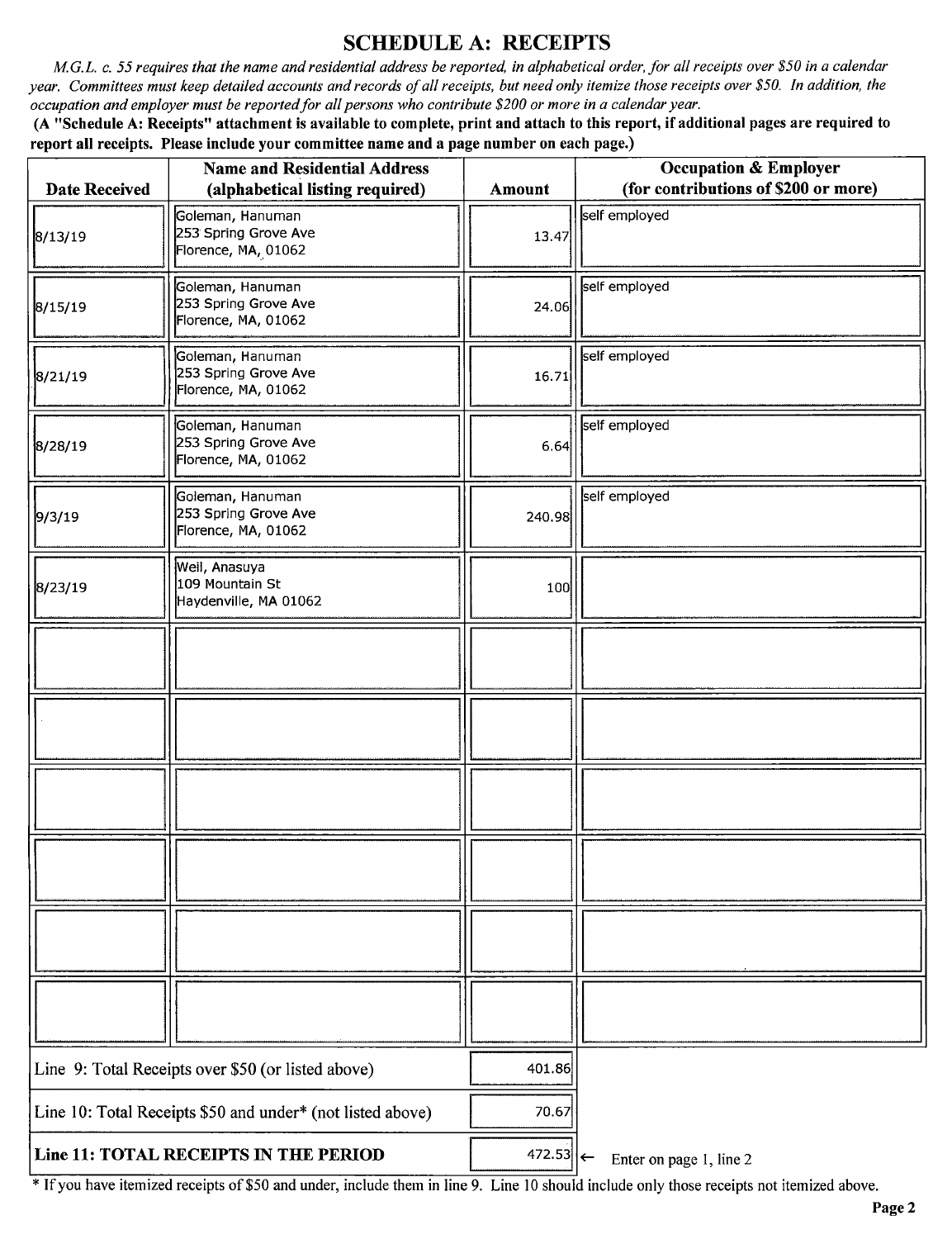#### SCHEDULE A: RECEIPTS

M.G.L. c. 55 requires that the name and residential address be reported, in alphabetical order, for all receipts over \$50 in a calendar year. Committees must keep detailed accounts and records of all receipts, but need only itemize those receipts over\$ 50. In addition, the occupation and employer must be reported for all persons who contribute \$200 or more in a calendar year.

A " Schedule A: Receipts" attachment is available to complete, print and attach to this report, if additional pages are required to report all receipts. Please include your committee name and a page number on each page.)

|                                                            | <b>Name and Residential Address</b>                             |                            | <b>Occupation &amp; Employer</b>     |
|------------------------------------------------------------|-----------------------------------------------------------------|----------------------------|--------------------------------------|
| <b>Date Received</b>                                       | (alphabetical listing required)                                 | <b>Amount</b>              | (for contributions of \$200 or more) |
| 8/13/19                                                    | Goleman, Hanuman<br>253 Spring Grove Ave<br>Florence, MA, 01062 | 13.47                      | self employed                        |
| 8/15/19                                                    | Goleman, Hanuman<br>253 Spring Grove Ave<br>Florence, MA, 01062 | 24.06                      | self employed                        |
| 8/21/19                                                    | Goleman, Hanuman<br>253 Spring Grove Ave<br>Florence, MA, 01062 | 16.71                      | self employed                        |
| 8/28/19                                                    | Goleman, Hanuman<br>253 Spring Grove Ave<br>Florence, MA, 01062 | 6.64                       | self employed                        |
| 9/3/19                                                     | Goleman, Hanuman<br>253 Spring Grove Ave<br>Florence, MA, 01062 | 240.98                     | self employed                        |
| 8/23/19                                                    | Weil, Anasuya<br>109 Mountain St<br>Haydenville, MA 01062       | 100                        |                                      |
|                                                            |                                                                 |                            |                                      |
|                                                            |                                                                 |                            |                                      |
|                                                            |                                                                 |                            |                                      |
|                                                            |                                                                 |                            |                                      |
|                                                            |                                                                 |                            |                                      |
|                                                            |                                                                 |                            |                                      |
| Line 9: Total Receipts over \$50 (or listed above)         |                                                                 | 401.86                     |                                      |
| Line 10: Total Receipts \$50 and under* (not listed above) |                                                                 | 70.67                      |                                      |
|                                                            | Line 11: TOTAL RECEIPTS IN THE PERIOD                           | 472.53 $\left  \leftarrow$ | Enter on page 1, line 2              |

If you have itemized receipts of\$ <sup>50</sup> and under, include them in line 9. Line <sup>10</sup> should include only those receipts not itemized above.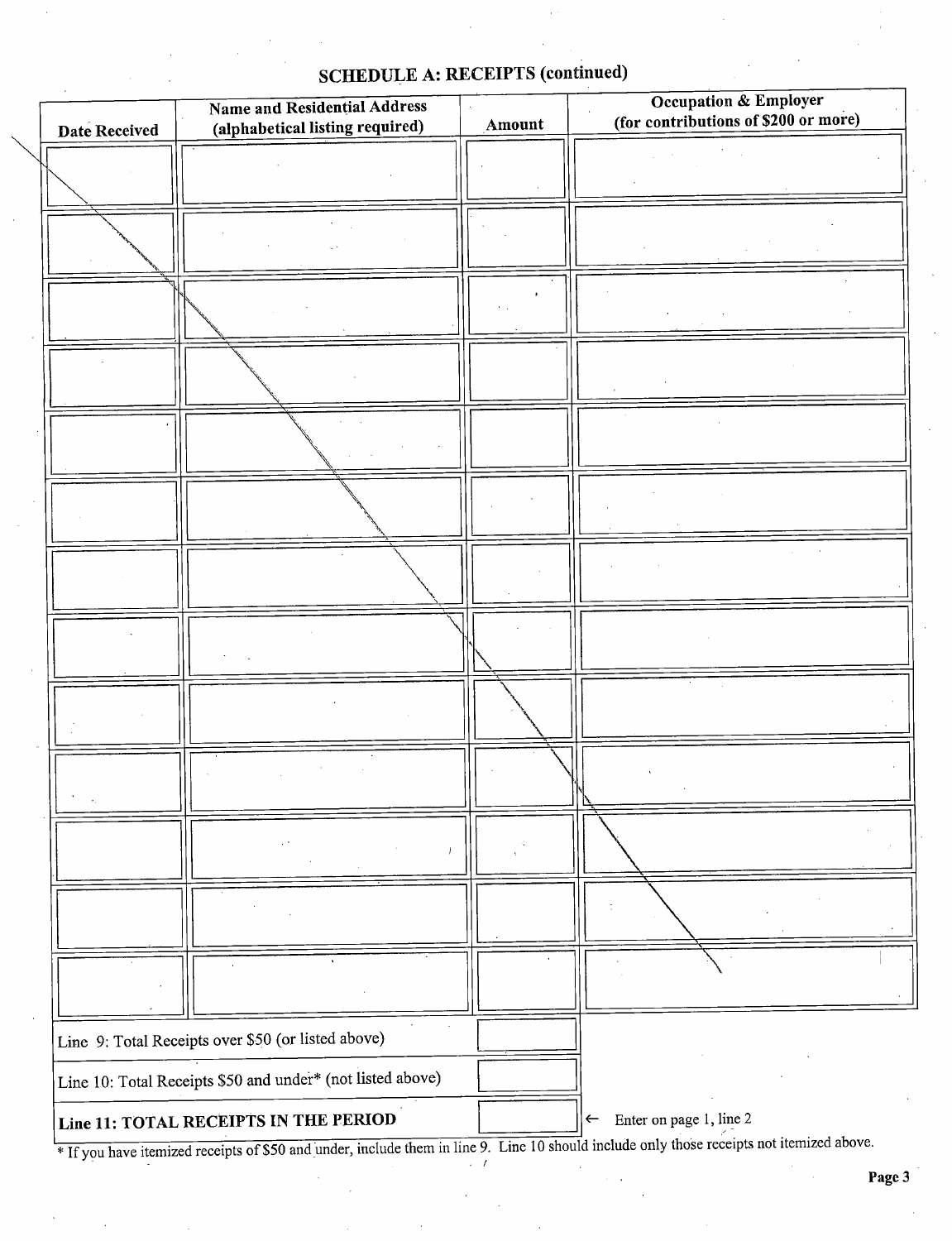# SCHEDULE A: RECEIPTS (continued)

| Date Received | Name and Residential Address<br>(alphabetical listing required) | Amount | Occupation & Employer<br>(for contributions of \$200 or more)                                                              |
|---------------|-----------------------------------------------------------------|--------|----------------------------------------------------------------------------------------------------------------------------|
|               |                                                                 |        |                                                                                                                            |
|               |                                                                 |        |                                                                                                                            |
|               |                                                                 |        |                                                                                                                            |
|               |                                                                 |        |                                                                                                                            |
|               |                                                                 |        |                                                                                                                            |
|               |                                                                 |        |                                                                                                                            |
|               |                                                                 |        |                                                                                                                            |
|               |                                                                 |        |                                                                                                                            |
|               |                                                                 |        |                                                                                                                            |
|               |                                                                 |        |                                                                                                                            |
|               |                                                                 |        |                                                                                                                            |
|               |                                                                 |        |                                                                                                                            |
|               |                                                                 |        |                                                                                                                            |
|               | Line 9: Total Receipts over \$50 (or listed above)              |        |                                                                                                                            |
|               | Line 10: Total Receipts \$50 and under* (not listed above)      |        |                                                                                                                            |
|               | Line 11: TOTAL RECEIPTS IN THE PERIOD                           |        | Enter on page 1, line 2<br>$\leftarrow$<br>them in line 0. I ing 10 should include only those receipts not itemized above. |

If you have itemized receipts of \$50 and under, include them in line 9. Line 10 should include only those re i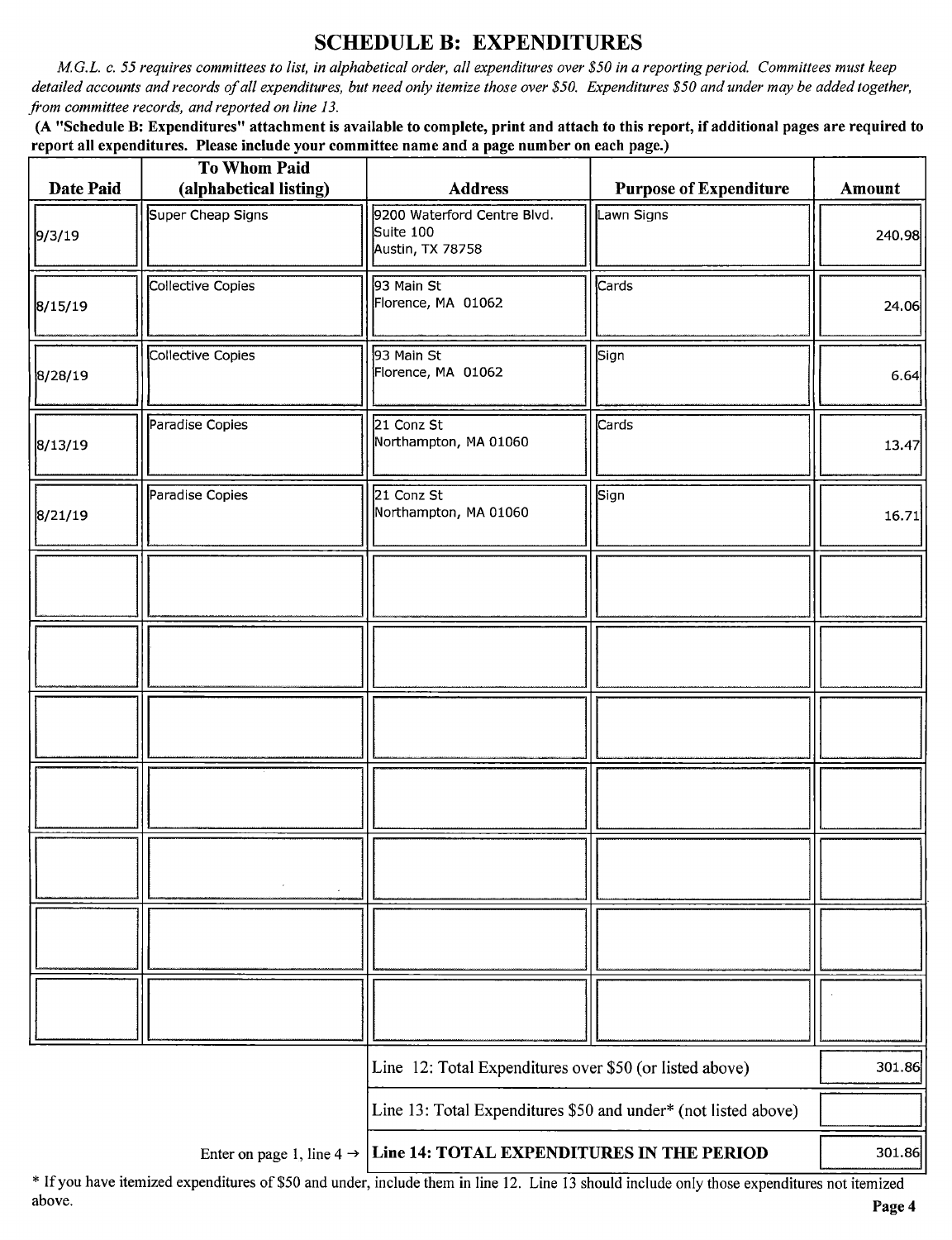#### SCHEDULE B: EXPENDITURES

M.G.L. c. 55 requires committees to list, in alphabetical order, all expenditures over\$ 50 in a reporting period. Committees must keep detailed accounts and records of all expenditures, but need only itemize those over \$50. Expenditures \$50 and under may be added together, from committee records, and reported on line 13.

A " Schedule B: Expenditures" attachment is available to complete, print and attach to this report, if additional pages are required to report all expenditures. Please include your committee name and a page number on each page.)

| Date Paid | <b>To Whom Paid</b><br>(alphabetical listing) | <b>Address</b>                                                 | <b>Purpose of Expenditure</b> | Amount |
|-----------|-----------------------------------------------|----------------------------------------------------------------|-------------------------------|--------|
| 9/3/19    | Super Cheap Signs                             | 9200 Waterford Centre Blvd.<br>Suite 100<br>Austin, TX 78758   | Lawn Signs                    | 240.98 |
| 8/15/19   | Collective Copies                             | 93 Main St<br>Florence, MA 01062                               | Cards                         | 24.06  |
| 8/28/19   | Collective Copies                             | 93 Main St<br>Florence, MA 01062                               | Sign                          | 6.64   |
| 8/13/19   | Paradise Copies                               | 21 Conz St<br>Northampton, MA 01060                            | Cards                         | 13.47  |
| 8/21/19   | Paradise Copies                               | 21 Conz St<br>Northampton, MA 01060                            | Sign                          | 16.71  |
|           |                                               |                                                                |                               |        |
|           |                                               |                                                                |                               |        |
|           |                                               |                                                                |                               |        |
|           |                                               |                                                                |                               |        |
|           |                                               |                                                                |                               |        |
|           |                                               |                                                                |                               |        |
|           |                                               |                                                                |                               |        |
|           |                                               | Line 12: Total Expenditures over \$50 (or listed above)        |                               | 301.86 |
|           |                                               | Line 13: Total Expenditures \$50 and under* (not listed above) |                               |        |
|           | Enter on page 1, line $4 \rightarrow$         | Line 14: TOTAL EXPENDITURES IN THE PERIOD                      |                               | 301.86 |

If you have itemized expenditures of\$50 and under, include them in line 12. Line <sup>13</sup> should include only those expenditures not itemized above. Page 4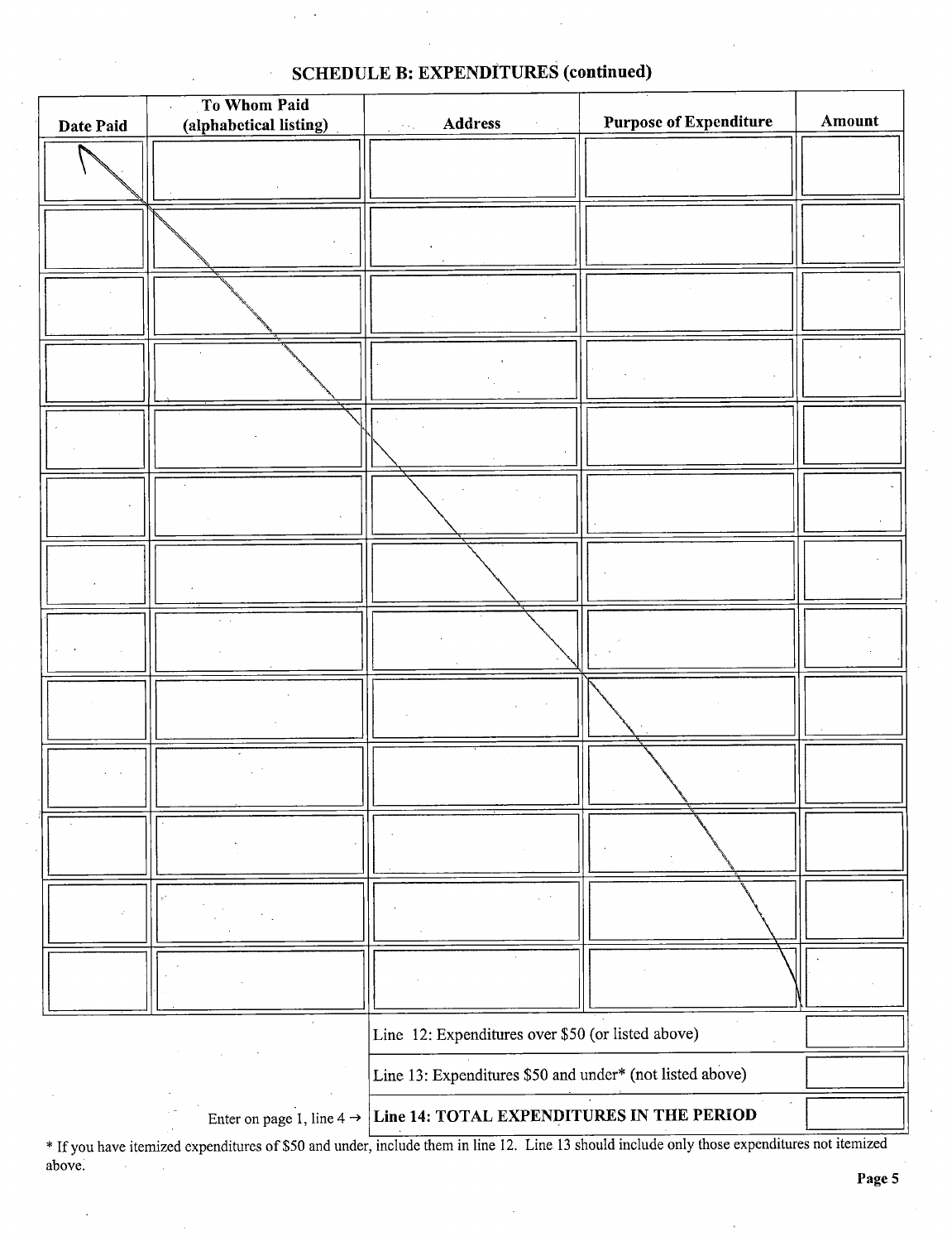| Date Paid | To Whom Paid<br>(alphabetical listing) | Address<br>* * 1                                         | <b>Purpose of Expenditure</b> | Amount |
|-----------|----------------------------------------|----------------------------------------------------------|-------------------------------|--------|
|           |                                        |                                                          |                               |        |
|           |                                        |                                                          |                               |        |
|           |                                        |                                                          |                               |        |
|           |                                        |                                                          |                               |        |
|           |                                        |                                                          |                               |        |
|           |                                        |                                                          |                               |        |
|           |                                        |                                                          |                               |        |
|           |                                        |                                                          |                               |        |
|           |                                        |                                                          |                               |        |
|           |                                        |                                                          |                               |        |
|           |                                        |                                                          |                               |        |
|           |                                        |                                                          |                               |        |
|           |                                        |                                                          |                               |        |
|           |                                        | Line 12: Expenditures over \$50 (or listed above)        |                               |        |
|           |                                        | Line 13: Expenditures \$50 and under* (not listed above) |                               |        |
|           | Enter on page 1, line 4 $\rightarrow$  | Line 14: TOTAL EXPENDITURES IN THE PERIOD                |                               |        |

SCHEDULE B: EXPENDITURES (continued)

\* If you have itemized expenditures of \$50 and under, include them in line 12. Line 13 should include only those expenditures not itemized above.  $\mathcal{L}$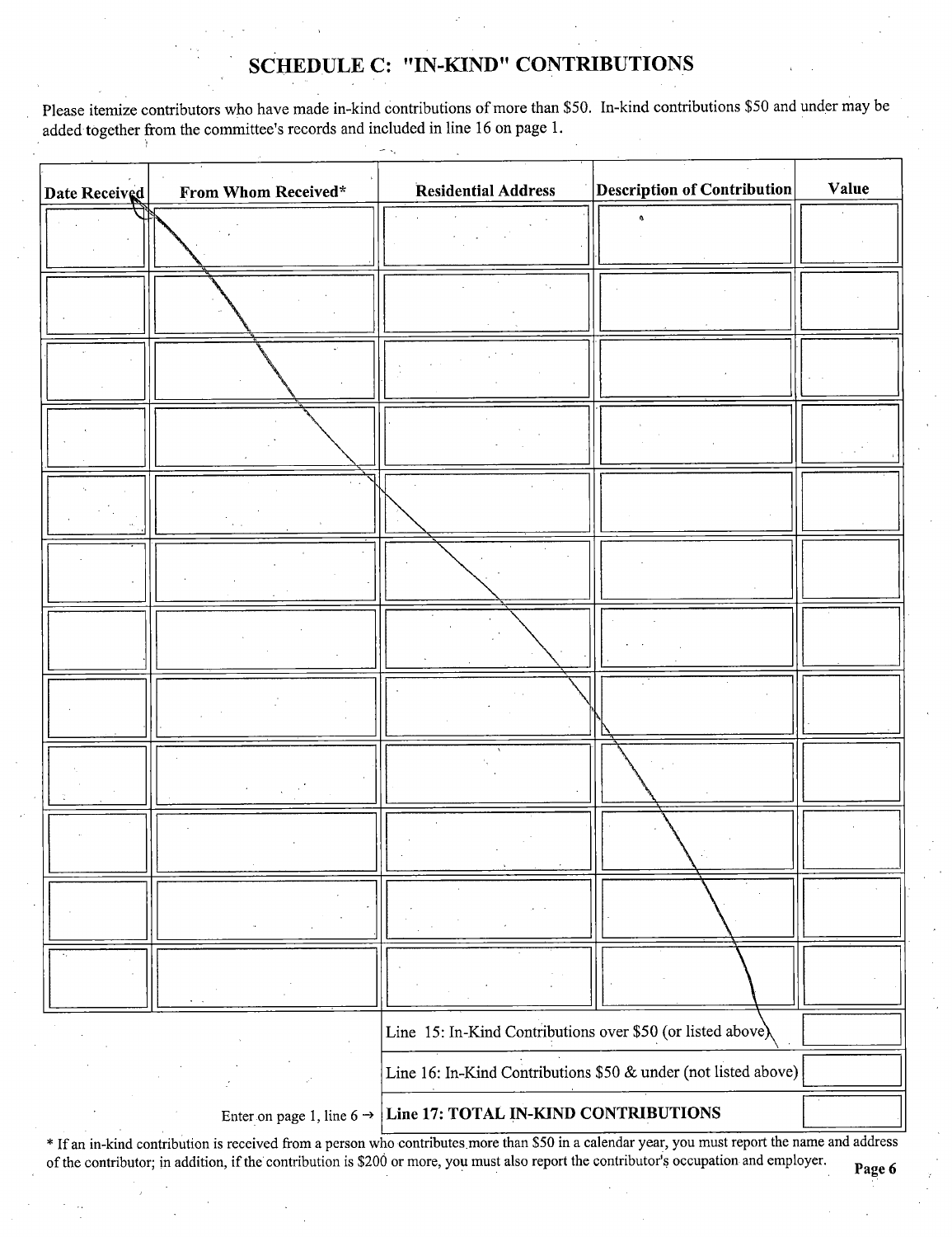### SCHEDULE C: "IN-KIND" CONTRIBUTIONS

Please itemize contributors who have made in-kind contributions of more than \$50. In-kind contributions \$50 and under may be added together from the committee's records and included in line 16 on page 1.

| Date Received | From Whom Received*                   | <b>Residential Address</b>                                     | <b>Description of Contribution</b> | Value |
|---------------|---------------------------------------|----------------------------------------------------------------|------------------------------------|-------|
|               |                                       |                                                                |                                    |       |
|               |                                       |                                                                |                                    |       |
|               |                                       |                                                                |                                    |       |
|               |                                       |                                                                |                                    |       |
|               |                                       |                                                                |                                    |       |
|               |                                       |                                                                |                                    |       |
|               |                                       |                                                                |                                    |       |
|               |                                       |                                                                |                                    |       |
|               |                                       |                                                                |                                    |       |
|               |                                       |                                                                |                                    |       |
|               |                                       |                                                                |                                    |       |
|               |                                       |                                                                |                                    |       |
|               |                                       | Line 15: In-Kind Contributions over \$50 (or listed above),    |                                    |       |
|               |                                       | Line 16: In-Kind Contributions \$50 & under (not listed above) |                                    |       |
|               | Enter on page 1, line 6 $\rightarrow$ | Line 17: TOTAL IN-KIND CONTRIBUTIONS                           |                                    |       |

\* If an in-kind contribution is received from a person who contributes more than \$50 in a calendar year, you must report the name and address of the contributor; in addition, if the contribution is \$200 or more, you must also report the contributor's occupation and employer.